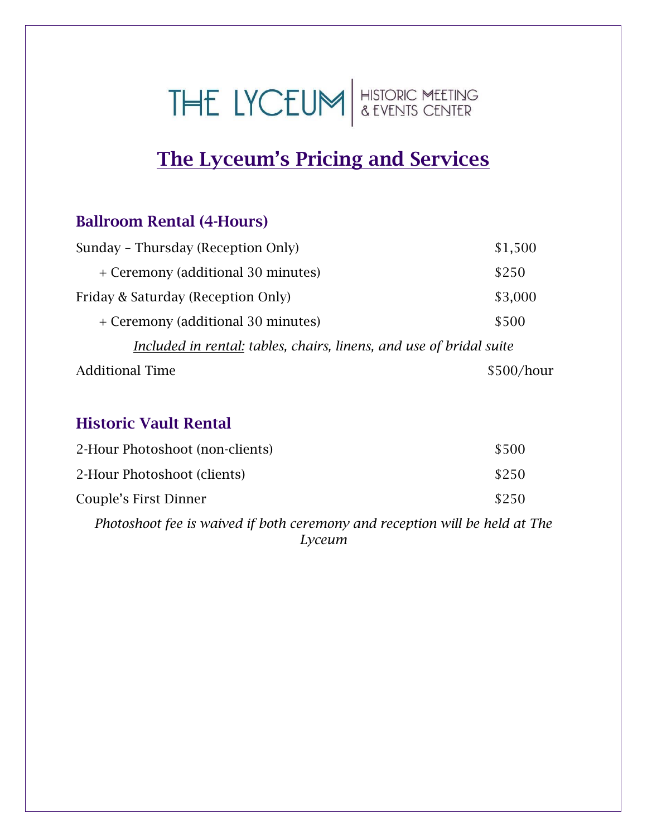# THE LYCEUM SEVENTS CENTER

# The Lyceum's Pricing and Services

## Ballroom Rental (4-Hours)

| Sunday - Thursday (Reception Only)                                  | \$1,500    |
|---------------------------------------------------------------------|------------|
| + Ceremony (additional 30 minutes)                                  | \$250      |
| Friday & Saturday (Reception Only)                                  | \$3,000    |
| + Ceremony (additional 30 minutes)                                  | \$500      |
| Included in rental: tables, chairs, linens, and use of bridal suite |            |
| <b>Additional Time</b>                                              | \$500/hour |

## Historic Vault Rental

| 2-Hour Photoshoot (non-clients) | \$500 |
|---------------------------------|-------|
| 2-Hour Photoshoot (clients)     | \$250 |
| Couple's First Dinner           | \$250 |
|                                 |       |

*Photoshoot fee is waived if both ceremony and reception will be held at The Lyceum*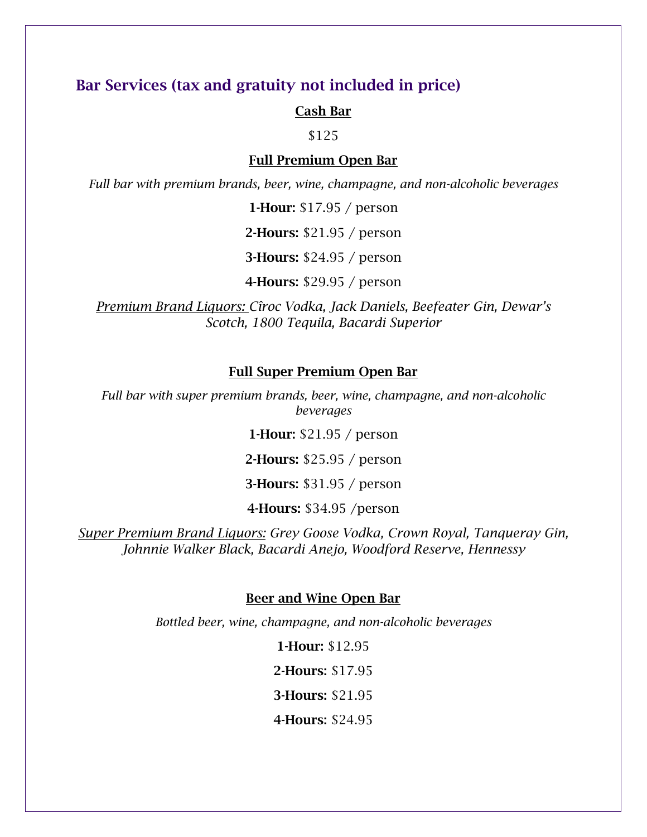### Bar Services (tax and gratuity not included in price)

#### Cash Bar

\$125

#### Full Premium Open Bar

*Full bar with premium brands, beer, wine, champagne, and non-alcoholic beverages*

1-Hour: \$17.95 / person

2-Hours: \$21.95 / person

3-Hours: \$24.95 / person

4-Hours: \$29.95 / person

*Premium Brand Liquors: Cîroc Vodka, Jack Daniels, Beefeater Gin, Dewar's Scotch, 1800 Tequila, Bacardi Superior* 

#### Full Super Premium Open Bar

*Full bar with super premium brands, beer, wine, champagne, and non-alcoholic beverages*

1-Hour: \$21.95 / person

2-Hours: \$25.95 / person

3-Hours: \$31.95 / person

4-Hours: \$34.95 /person

*Super Premium Brand Liquors: Grey Goose Vodka, Crown Royal, Tanqueray Gin, Johnnie Walker Black, Bacardi Anejo, Woodford Reserve, Hennessy*

#### Beer and Wine Open Bar

*Bottled beer, wine, champagne, and non-alcoholic beverages*

1-Hour: \$12.95 2-Hours: \$17.95 3-Hours: \$21.95 4-Hours: \$24.95